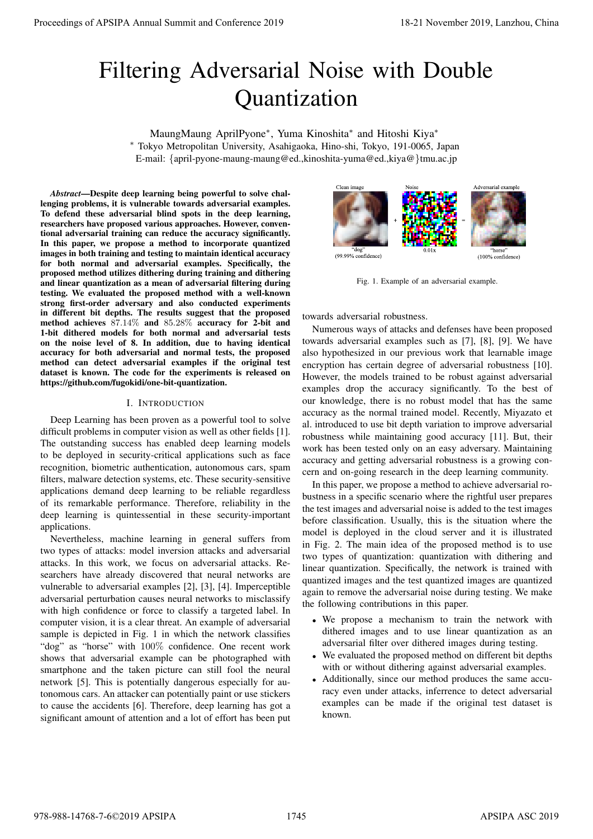# Filtering Adversarial Noise with Double Quantization

MaungMaung AprilPyone<sup>∗</sup> , Yuma Kinoshita<sup>∗</sup> and Hitoshi Kiya<sup>∗</sup> <sup>∗</sup> Tokyo Metropolitan University, Asahigaoka, Hino-shi, Tokyo, 191-0065, Japan E-mail: {april-pyone-maung-maung@ed.,kinoshita-yuma@ed.,kiya@}tmu.ac.jp

*Abstract*—Despite deep learning being powerful to solve challenging problems, it is vulnerable towards adversarial examples. To defend these adversarial blind spots in the deep learning, researchers have proposed various approaches. However, conventional adversarial training can reduce the accuracy significantly. In this paper, we propose a method to incorporate quantized images in both training and testing to maintain identical accuracy for both normal and adversarial examples. Specifically, the proposed method utilizes dithering during training and dithering and linear quantization as a mean of adversarial filtering during testing. We evaluated the proposed method with a well-known strong first-order adversary and also conducted experiments in different bit depths. The results suggest that the proposed method achieves 87.14% and 85.28% accuracy for 2-bit and 1-bit dithered models for both normal and adversarial tests on the noise level of 8. In addition, due to having identical accuracy for both adversarial and normal tests, the proposed method can detect adversarial examples if the original test dataset is known. The code for the experiments is released on https://github.com/fugokidi/one-bit-quantization. **Proceedings of APSIPA Annual Summit and Conference 2019**<br> **CURRITIZATION**<br> **CURRITIZATION**<br> **CURRITIZATION CONFERENCE ANNUAL SUMMIT AND CONFERENCE ANNUAL SURFACE ANNUAL SURFACE AND ASSOCIATES AND ANNUAL SURFACE AND ASSOC** 

## I. INTRODUCTION

Deep Learning has been proven as a powerful tool to solve difficult problems in computer vision as well as other fields [1]. The outstanding success has enabled deep learning models to be deployed in security-critical applications such as face recognition, biometric authentication, autonomous cars, spam filters, malware detection systems, etc. These security-sensitive applications demand deep learning to be reliable regardless of its remarkable performance. Therefore, reliability in the deep learning is quintessential in these security-important applications.

Nevertheless, machine learning in general suffers from two types of attacks: model inversion attacks and adversarial attacks. In this work, we focus on adversarial attacks. Researchers have already discovered that neural networks are vulnerable to adversarial examples [2], [3], [4]. Imperceptible adversarial perturbation causes neural networks to misclassify with high confidence or force to classify a targeted label. In computer vision, it is a clear threat. An example of adversarial sample is depicted in Fig. 1 in which the network classifies "dog" as "horse" with 100% confidence. One recent work shows that adversarial example can be photographed with smartphone and the taken picture can still fool the neural network [5]. This is potentially dangerous especially for autonomous cars. An attacker can potentially paint or use stickers to cause the accidents [6]. Therefore, deep learning has got a significant amount of attention and a lot of effort has been put



Fig. 1. Example of an adversarial example.

towards adversarial robustness.

Numerous ways of attacks and defenses have been proposed towards adversarial examples such as [7], [8], [9]. We have also hypothesized in our previous work that learnable image encryption has certain degree of adversarial robustness [10]. However, the models trained to be robust against adversarial examples drop the accuracy significantly. To the best of our knowledge, there is no robust model that has the same accuracy as the normal trained model. Recently, Miyazato et al. introduced to use bit depth variation to improve adversarial robustness while maintaining good accuracy [11]. But, their work has been tested only on an easy adversary. Maintaining accuracy and getting adversarial robustness is a growing concern and on-going research in the deep learning community.

In this paper, we propose a method to achieve adversarial robustness in a specific scenario where the rightful user prepares the test images and adversarial noise is added to the test images before classification. Usually, this is the situation where the model is deployed in the cloud server and it is illustrated in Fig. 2. The main idea of the proposed method is to use two types of quantization: quantization with dithering and linear quantization. Specifically, the network is trained with quantized images and the test quantized images are quantized again to remove the adversarial noise during testing. We make the following contributions in this paper.

- We propose a mechanism to train the network with dithered images and to use linear quantization as an adversarial filter over dithered images during testing.
- We evaluated the proposed method on different bit depths with or without dithering against adversarial examples.
- Additionally, since our method produces the same accuracy even under attacks, inferrence to detect adversarial examples can be made if the original test dataset is known.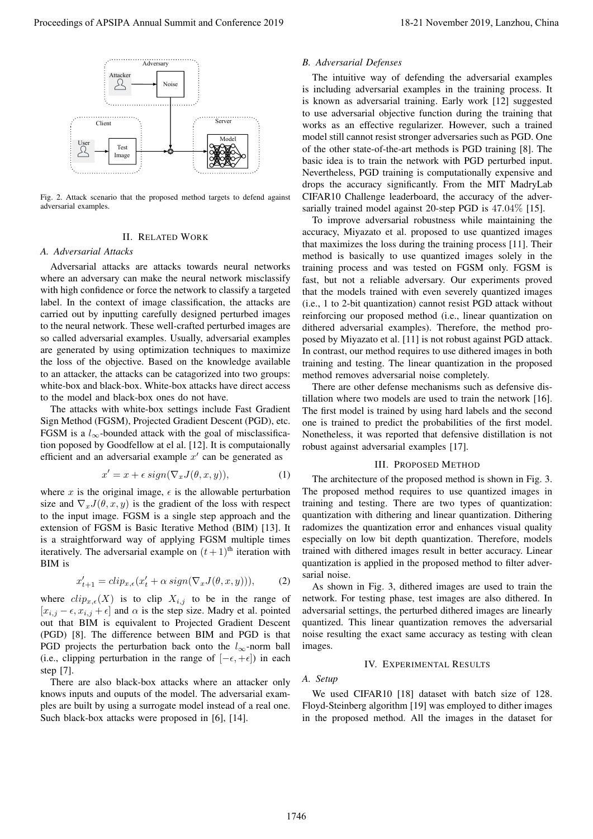

Fig. 2. Attack scenario that the proposed method targets to defend against adversarial examples.

## II. RELATED WORK

#### *A. Adversarial Attacks*

Adversarial attacks are attacks towards neural networks where an adversary can make the neural network misclassify with high confidence or force the network to classify a targeted label. In the context of image classification, the attacks are carried out by inputting carefully designed perturbed images to the neural network. These well-crafted perturbed images are so called adversarial examples. Usually, adversarial examples are generated by using optimization techniques to maximize the loss of the objective. Based on the knowledge available to an attacker, the attacks can be catagorized into two groups: white-box and black-box. White-box attacks have direct access to the model and black-box ones do not have.

The attacks with white-box settings include Fast Gradient Sign Method (FGSM), Projected Gradient Descent (PGD), etc. FGSM is a  $l_{\infty}$ -bounded attack with the goal of misclassification poposed by Goodfellow at el al. [12]. It is computaionally efficient and an adversarial example  $x'$  can be generated as

$$
x' = x + \epsilon \, sign(\nabla_x J(\theta, x, y)), \tag{1}
$$

where x is the original image,  $\epsilon$  is the allowable perturbation size and  $\nabla_x J(\theta, x, y)$  is the gradient of the loss with respect to the input image. FGSM is a single step approach and the extension of FGSM is Basic Iterative Method (BIM) [13]. It is a straightforward way of applying FGSM multiple times iteratively. The adversarial example on  $(t + 1)$ <sup>th</sup> iteration with BIM is

$$
x'_{t+1} = clip_{x,\epsilon}(x'_t + \alpha \ sign(\nabla_x J(\theta, x, y))), \tag{2}
$$

where  $clip_{x,\epsilon}(X)$  is to clip  $X_{i,j}$  to be in the range of  $[x_{i,j} - \epsilon, x_{i,j} + \epsilon]$  and  $\alpha$  is the step size. Madry et al. pointed out that BIM is equivalent to Projected Gradient Descent (PGD) [8]. The difference between BIM and PGD is that PGD projects the perturbation back onto the  $l_{\infty}$ -norm ball (i.e., clipping perturbation in the range of  $[-\epsilon, +\epsilon]$ ) in each step [7].

There are also black-box attacks where an attacker only knows inputs and ouputs of the model. The adversarial examples are built by using a surrogate model instead of a real one. Such black-box attacks were proposed in [6], [14].

## *B. Adversarial Defenses*

The intuitive way of defending the adversarial examples is including adversarial examples in the training process. It is known as adversarial training. Early work [12] suggested to use adversarial objective function during the training that works as an effective regularizer. However, such a trained model still cannot resist stronger adversaries such as PGD. One of the other state-of-the-art methods is PGD training [8]. The basic idea is to train the network with PGD perturbed input. Nevertheless, PGD training is computationally expensive and drops the accuracy significantly. From the MIT MadryLab CIFAR10 Challenge leaderboard, the accuracy of the adversarially trained model against 20-step PGD is 47.04% [15].

To improve adversarial robustness while maintaining the accuracy, Miyazato et al. proposed to use quantized images that maximizes the loss during the training process [11]. Their method is basically to use quantized images solely in the training process and was tested on FGSM only. FGSM is fast, but not a reliable adversary. Our experiments proved that the models trained with even severely quantized images (i.e., 1 to 2-bit quantization) cannot resist PGD attack without reinforcing our proposed method (i.e., linear quantization on dithered adversarial examples). Therefore, the method proposed by Miyazato et al. [11] is not robust against PGD attack. In contrast, our method requires to use dithered images in both training and testing. The linear quantization in the proposed method removes adversarial noise completely. Proceedings of APSIPA Annual Summit and Conference 2019 18-21 November 2019 18-21 November 2019 18-21 November 2019 18-21 November 2019 18-21 November 2019 18-21 November 2019 18-21 November 2019 18-21 November 2019 18-21

There are other defense mechanisms such as defensive distillation where two models are used to train the network [16]. The first model is trained by using hard labels and the second one is trained to predict the probabilities of the first model. Nonetheless, it was reported that defensive distillation is not robust against adversarial examples [17].

#### III. PROPOSED METHOD

The architecture of the proposed method is shown in Fig. 3. The proposed method requires to use quantized images in training and testing. There are two types of quantization: quantization with dithering and linear quantization. Dithering radomizes the quantization error and enhances visual quality especially on low bit depth quantization. Therefore, models trained with dithered images result in better accuracy. Linear quantization is applied in the proposed method to filter adversarial noise.

As shown in Fig. 3, dithered images are used to train the network. For testing phase, test images are also dithered. In adversarial settings, the perturbed dithered images are linearly quantized. This linear quantization removes the adversarial noise resulting the exact same accuracy as testing with clean images.

# IV. EXPERIMENTAL RESULTS

*A. Setup*

We used CIFAR10 [18] dataset with batch size of 128. Floyd-Steinberg algorithm [19] was employed to dither images in the proposed method. All the images in the dataset for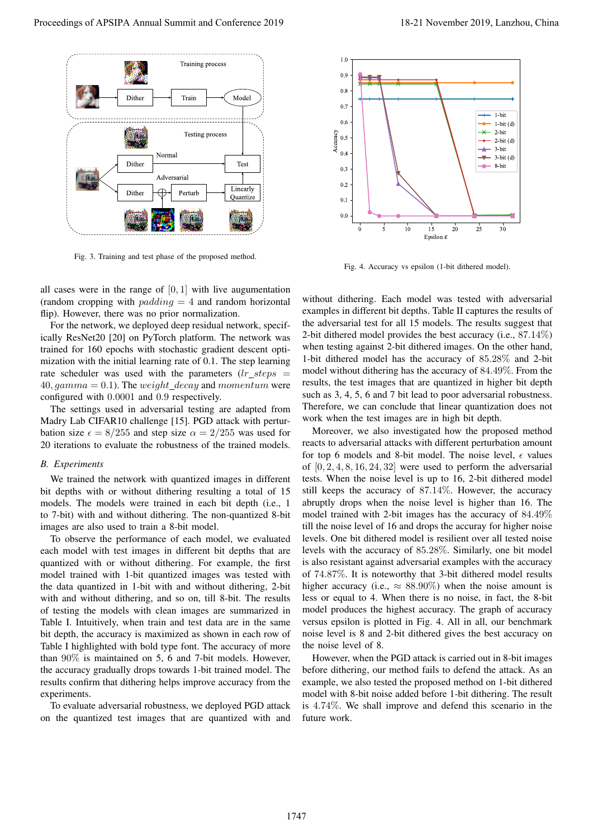

Fig. 3. Training and test phase of the proposed method.

all cases were in the range of  $[0, 1]$  with live augumentation (random cropping with  $padding = 4$  and random horizontal flip). However, there was no prior normalization.

For the network, we deployed deep residual network, specifically ResNet20 [20] on PyTorch platform. The network was trained for 160 epochs with stochastic gradient descent optimization with the initial learning rate of 0.1. The step learning rate scheduler was used with the parameters  $(lr\_steps =$ 40, gamma = 0.1). The weight\_decay and momentum were configured with 0.0001 and 0.9 respectively.

The settings used in adversarial testing are adapted from Madry Lab CIFAR10 challenge [15]. PGD attack with perturbation size  $\epsilon = 8/255$  and step size  $\alpha = 2/255$  was used for 20 iterations to evaluate the robustness of the trained models.

#### *B. Experiments*

We trained the network with quantized images in different bit depths with or without dithering resulting a total of 15 models. The models were trained in each bit depth (i.e., 1 to 7-bit) with and without dithering. The non-quantized 8-bit images are also used to train a 8-bit model.

To observe the performance of each model, we evaluated each model with test images in different bit depths that are quantized with or without dithering. For example, the first model trained with 1-bit quantized images was tested with the data quantized in 1-bit with and without dithering, 2-bit with and without dithering, and so on, till 8-bit. The results of testing the models with clean images are summarized in Table I. Intuitively, when train and test data are in the same bit depth, the accuracy is maximized as shown in each row of Table I highlighted with bold type font. The accuracy of more than 90% is maintained on 5, 6 and 7-bit models. However, the accuracy gradually drops towards 1-bit trained model. The results confirm that dithering helps improve accuracy from the experiments.

To evaluate adversarial robustness, we deployed PGD attack on the quantized test images that are quantized with and





Fig. 4. Accuracy vs epsilon (1-bit dithered model).

without dithering. Each model was tested with adversarial examples in different bit depths. Table II captures the results of the adversarial test for all 15 models. The results suggest that 2-bit dithered model provides the best accuracy (i.e.,  $87.14\%$ ) when testing against 2-bit dithered images. On the other hand, 1-bit dithered model has the accuracy of 85.28% and 2-bit model without dithering has the accuracy of 84.49%. From the results, the test images that are quantized in higher bit depth such as 3, 4, 5, 6 and 7 bit lead to poor adversarial robustness. Therefore, we can conclude that linear quantization does not work when the test images are in high bit depth.

Moreover, we also investigated how the proposed method reacts to adversarial attacks with different perturbation amount for top 6 models and 8-bit model. The noise level,  $\epsilon$  values of  $[0, 2, 4, 8, 16, 24, 32]$  were used to perform the adversarial tests. When the noise level is up to 16, 2-bit dithered model still keeps the accuracy of 87.14%. However, the accuracy abruptly drops when the noise level is higher than 16. The model trained with 2-bit images has the accuracy of 84.49% till the noise level of 16 and drops the accuray for higher noise levels. One bit dithered model is resilient over all tested noise levels with the accuracy of 85.28%. Similarly, one bit model is also resistant against adversarial examples with the accuracy of 74.87%. It is noteworthy that 3-bit dithered model results higher accuracy (i.e.,  $\approx 88.90\%$ ) when the noise amount is less or equal to 4. When there is no noise, in fact, the 8-bit model produces the highest accuracy. The graph of accuracy versus epsilon is plotted in Fig. 4. All in all, our benchmark noise level is 8 and 2-bit dithered gives the best accuracy on the noise level of 8. **Proceedings of APSIPA Annual Summit and Conference 2019**<br>
Proceedings of APSIPA Annual Summit and Conference 2019<br> **Proceedings of APSIPA Annual Summit and Conference 2019**<br> **Proceeding the Conference 2019**<br> **Proceeding** 

However, when the PGD attack is carried out in 8-bit images before dithering, our method fails to defend the attack. As an example, we also tested the proposed method on 1-bit dithered model with 8-bit noise added before 1-bit dithering. The result is 4.74%. We shall improve and defend this scenario in the future work.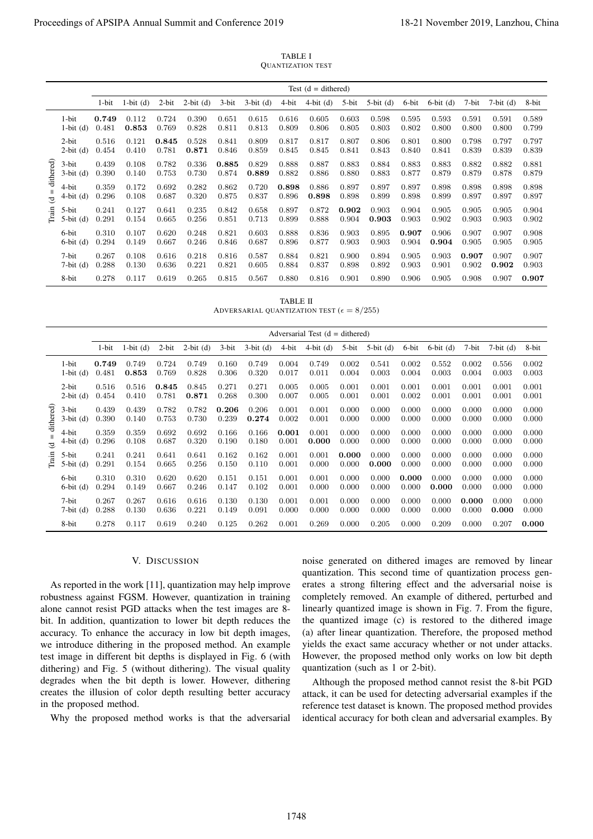TABLE I QUANTIZATION TEST

|                                                      |                          |       |                |                |                                                                                                                                                                                                                                                                                                                                                                                                                                                                                                                                                                                                                                                                                                                |                |                | TABLE I         | <b>QUANTIZATION TEST</b>                                                                                                                                                                                                                                                                                                                                                                                                                                                                                                                                                                                                                                                                                                                                     |                |                |                |                                                                                                                           |                |                |                    |
|------------------------------------------------------|--------------------------|-------|----------------|----------------|----------------------------------------------------------------------------------------------------------------------------------------------------------------------------------------------------------------------------------------------------------------------------------------------------------------------------------------------------------------------------------------------------------------------------------------------------------------------------------------------------------------------------------------------------------------------------------------------------------------------------------------------------------------------------------------------------------------|----------------|----------------|-----------------|--------------------------------------------------------------------------------------------------------------------------------------------------------------------------------------------------------------------------------------------------------------------------------------------------------------------------------------------------------------------------------------------------------------------------------------------------------------------------------------------------------------------------------------------------------------------------------------------------------------------------------------------------------------------------------------------------------------------------------------------------------------|----------------|----------------|----------------|---------------------------------------------------------------------------------------------------------------------------|----------------|----------------|--------------------|
|                                                      |                          |       |                |                |                                                                                                                                                                                                                                                                                                                                                                                                                                                                                                                                                                                                                                                                                                                |                |                |                 | Test $(d = dithered)$                                                                                                                                                                                                                                                                                                                                                                                                                                                                                                                                                                                                                                                                                                                                        |                |                |                |                                                                                                                           |                |                |                    |
|                                                      |                          | 1-bit | $1-bit$ (d)    | 2-bit          | $2-bit (d)$                                                                                                                                                                                                                                                                                                                                                                                                                                                                                                                                                                                                                                                                                                    | 3-bit          | $3-bit (d)$    | 4-bit           | $4-bit (d)$                                                                                                                                                                                                                                                                                                                                                                                                                                                                                                                                                                                                                                                                                                                                                  | 5-bit          | $5$ -bit $(d)$ | 6-bit          | $6-bit$ (d)                                                                                                               | 7-bit          | $7-bit (d)$    | 8-bit              |
|                                                      | 1-bit                    | 0.749 | 0.112          | 0.724          | 0.390                                                                                                                                                                                                                                                                                                                                                                                                                                                                                                                                                                                                                                                                                                          | 0.651          | 0.615          | 0.616           | 0.605                                                                                                                                                                                                                                                                                                                                                                                                                                                                                                                                                                                                                                                                                                                                                        | 0.603          | 0.598          | 0.595          | 0.593                                                                                                                     | 0.591          | 0.591          | 0.589              |
|                                                      | $1-bit$ (d)              | 0.481 | 0.853          | 0.769          | 0.828                                                                                                                                                                                                                                                                                                                                                                                                                                                                                                                                                                                                                                                                                                          | 0.811          | 0.813          | 0.809           | 0.806                                                                                                                                                                                                                                                                                                                                                                                                                                                                                                                                                                                                                                                                                                                                                        | 0.805          | 0.803          | 0.802          | 0.800                                                                                                                     | 0.800          | 0.800          | 0.799              |
|                                                      | $2-bit$                  | 0.516 | 0.121          | 0.845          | 0.528                                                                                                                                                                                                                                                                                                                                                                                                                                                                                                                                                                                                                                                                                                          | 0.841          | 0.809          | 0.817           | 0.817                                                                                                                                                                                                                                                                                                                                                                                                                                                                                                                                                                                                                                                                                                                                                        | 0.807          | 0.806          | 0.801          | 0.800                                                                                                                     | 0.798          | 0.797          | 0.797              |
|                                                      | $2-bit (d)$              | 0.454 | 0.410          | 0.781          | 0.871                                                                                                                                                                                                                                                                                                                                                                                                                                                                                                                                                                                                                                                                                                          | 0.846          | 0.859          | 0.845           | 0.845                                                                                                                                                                                                                                                                                                                                                                                                                                                                                                                                                                                                                                                                                                                                                        | 0.841          | 0.843          | 0.840          | 0.841                                                                                                                     | 0.839          | 0.839          | 0.839              |
| dithered)                                            | 3-bit                    | 0.439 | 0.108          | 0.782          | 0.336                                                                                                                                                                                                                                                                                                                                                                                                                                                                                                                                                                                                                                                                                                          | 0.885          | 0.829          | 0.888           | 0.887                                                                                                                                                                                                                                                                                                                                                                                                                                                                                                                                                                                                                                                                                                                                                        | 0.883          | 0.884          | 0.883          | 0.883                                                                                                                     | 0.882          | 0.882          | 0.881              |
|                                                      | $3-bit (d)$              | 0.390 | 0.140          | 0.753          | 0.730                                                                                                                                                                                                                                                                                                                                                                                                                                                                                                                                                                                                                                                                                                          | 0.874          | 0.889          | 0.882           | 0.886                                                                                                                                                                                                                                                                                                                                                                                                                                                                                                                                                                                                                                                                                                                                                        | 0.880          | 0.883          | 0.877          | 0.879                                                                                                                     | 0.879          | 0.878          | 0.879              |
| $\mathsf{H}% _{0}\left( \mathcal{M}_{0}\right) ^{T}$ | 4-bit                    | 0.359 | 0.172          | 0.692          | 0.282                                                                                                                                                                                                                                                                                                                                                                                                                                                                                                                                                                                                                                                                                                          | 0.862          | 0.720          | 0.898           | 0.886                                                                                                                                                                                                                                                                                                                                                                                                                                                                                                                                                                                                                                                                                                                                                        | 0.897          | 0.897          | 0.897          | 0.898                                                                                                                     | 0.898          | 0.898          | 0.898              |
| J                                                    | $4-bit (d)$              | 0.296 | 0.108          | 0.687          | 0.320                                                                                                                                                                                                                                                                                                                                                                                                                                                                                                                                                                                                                                                                                                          | 0.875          | 0.837          | 0.896           | 0.898                                                                                                                                                                                                                                                                                                                                                                                                                                                                                                                                                                                                                                                                                                                                                        | 0.898          | 0.899          | 0.898          | 0.899                                                                                                                     | 0.897          | 0.897          | 0.897              |
| Train                                                | 5-bit                    | 0.241 | 0.127          | 0.641          | 0.235                                                                                                                                                                                                                                                                                                                                                                                                                                                                                                                                                                                                                                                                                                          | 0.842          | 0.658          | 0.897           | 0.872                                                                                                                                                                                                                                                                                                                                                                                                                                                                                                                                                                                                                                                                                                                                                        | 0.902          | 0.903          | 0.904          | 0.905                                                                                                                     | 0.905          | 0.905          | 0.904              |
|                                                      | $5-bit$ (d)              | 0.291 | 0.154          | 0.665          | 0.256                                                                                                                                                                                                                                                                                                                                                                                                                                                                                                                                                                                                                                                                                                          | 0.851          | 0.713          | 0.899           | 0.888                                                                                                                                                                                                                                                                                                                                                                                                                                                                                                                                                                                                                                                                                                                                                        | 0.904          | 0.903          | 0.903          | 0.902                                                                                                                     | 0.903          | 0.903          | 0.902              |
|                                                      | 6-bit                    | 0.310 | 0.107          | 0.620          | 0.248                                                                                                                                                                                                                                                                                                                                                                                                                                                                                                                                                                                                                                                                                                          | 0.821          | 0.603          | 0.888           | 0.836                                                                                                                                                                                                                                                                                                                                                                                                                                                                                                                                                                                                                                                                                                                                                        | 0.903          | 0.895          | 0.907          | 0.906                                                                                                                     | 0.907          | 0.907          | 0.908              |
|                                                      | $6-bit (d)$              | 0.294 | 0.149          | 0.667          | 0.246                                                                                                                                                                                                                                                                                                                                                                                                                                                                                                                                                                                                                                                                                                          | 0.846          | 0.687          | 0.896           | 0.877                                                                                                                                                                                                                                                                                                                                                                                                                                                                                                                                                                                                                                                                                                                                                        | 0.903          | 0.903          | 0.904          | 0.904                                                                                                                     | 0.905          | 0.905          | 0.905              |
|                                                      | 7-bit                    | 0.267 | 0.108          | 0.616          | 0.218                                                                                                                                                                                                                                                                                                                                                                                                                                                                                                                                                                                                                                                                                                          | 0.816          | 0.587          | 0.884           | 0.821                                                                                                                                                                                                                                                                                                                                                                                                                                                                                                                                                                                                                                                                                                                                                        | 0.900          | 0.894          | 0.905          | 0.903                                                                                                                     | 0.907          | 0.907          | 0.907              |
|                                                      | $7-bit (d)$              | 0.288 | 0.130          | 0.636          | 0.221                                                                                                                                                                                                                                                                                                                                                                                                                                                                                                                                                                                                                                                                                                          | 0.821          | 0.605          | 0.884           | 0.837                                                                                                                                                                                                                                                                                                                                                                                                                                                                                                                                                                                                                                                                                                                                                        | 0.898          | 0.892          | 0.903          | 0.901                                                                                                                     | 0.902          | 0.902          | 0.903              |
|                                                      | 8-bit                    | 0.278 | 0.117          | 0.619          | 0.265                                                                                                                                                                                                                                                                                                                                                                                                                                                                                                                                                                                                                                                                                                          | 0.815          | 0.567          | 0.880           | 0.816                                                                                                                                                                                                                                                                                                                                                                                                                                                                                                                                                                                                                                                                                                                                                        | 0.901          | 0.890          | 0.906          | 0.905                                                                                                                     | 0.908          | 0.907          | 0.907              |
|                                                      |                          |       |                |                |                                                                                                                                                                                                                                                                                                                                                                                                                                                                                                                                                                                                                                                                                                                |                |                | <b>TABLE II</b> | ADVERSARIAL QUANTIZATION TEST ( $\epsilon = 8/255$ )                                                                                                                                                                                                                                                                                                                                                                                                                                                                                                                                                                                                                                                                                                         |                |                |                |                                                                                                                           |                |                |                    |
|                                                      |                          | 1-bit | $1-bit (d)$    | 2-bit          | $2-bit (d)$                                                                                                                                                                                                                                                                                                                                                                                                                                                                                                                                                                                                                                                                                                    | 3-bit          | $3-bit (d)$    | 4-bit           | Adversarial Test $(d = dithered)$<br>$4-bit (d)$                                                                                                                                                                                                                                                                                                                                                                                                                                                                                                                                                                                                                                                                                                             | 5-bit          | $5$ -bit $(d)$ | 6-bit          | $6-bit$ (d)                                                                                                               | 7-bit          | $7-bit (d)$    | 8-bit              |
|                                                      | 1-bit                    | 0.749 | 0.749          | 0.724          | 0.749                                                                                                                                                                                                                                                                                                                                                                                                                                                                                                                                                                                                                                                                                                          | 0.160          | 0.749          | 0.004           | 0.749                                                                                                                                                                                                                                                                                                                                                                                                                                                                                                                                                                                                                                                                                                                                                        | 0.002          | 0.541          | 0.002          | 0.552                                                                                                                     | 0.002          | 0.556          | 0.002              |
|                                                      | $1-bit$ (d)              | 0.481 | 0.853          | 0.769          | 0.828                                                                                                                                                                                                                                                                                                                                                                                                                                                                                                                                                                                                                                                                                                          | $0.306\,$      | 0.320          | 0.017           | 0.011                                                                                                                                                                                                                                                                                                                                                                                                                                                                                                                                                                                                                                                                                                                                                        | 0.004          | 0.003          | 0.004          | 0.003                                                                                                                     | 0.004          | 0.003          | $\,0.003\,$        |
|                                                      | 2-bit                    | 0.516 | 0.516          | 0.845          | 0.845                                                                                                                                                                                                                                                                                                                                                                                                                                                                                                                                                                                                                                                                                                          | 0.271          | 0.271          | 0.005           | 0.005                                                                                                                                                                                                                                                                                                                                                                                                                                                                                                                                                                                                                                                                                                                                                        | 0.001          | 0.001          | 0.001          | 0.001                                                                                                                     | 0.001          | 0.001          | 0.001              |
|                                                      | $2-bit (d)$              | 0.454 | 0.410          | 0.781          | 0.871                                                                                                                                                                                                                                                                                                                                                                                                                                                                                                                                                                                                                                                                                                          | 0.268          | 0.300          | 0.007           | 0.005                                                                                                                                                                                                                                                                                                                                                                                                                                                                                                                                                                                                                                                                                                                                                        | 0.001          | 0.001          | 0.002          | 0.001                                                                                                                     | 0.001          | 0.001          | 0.001              |
|                                                      | 3-bit                    | 0.439 | 0.439          | 0.782          | 0.782                                                                                                                                                                                                                                                                                                                                                                                                                                                                                                                                                                                                                                                                                                          | 0.206          | 0.206          | 0.001           | 0.001                                                                                                                                                                                                                                                                                                                                                                                                                                                                                                                                                                                                                                                                                                                                                        | 0.000          | 0.000          | 0.000          | 0.000                                                                                                                     | 0.000          | 0.000          | 0.000              |
| dithered)                                            | $3-bit (d)$              | 0.390 | 0.140          | 0.753          | 0.730                                                                                                                                                                                                                                                                                                                                                                                                                                                                                                                                                                                                                                                                                                          | 0.239          | 0.274          | 0.002           | 0.001                                                                                                                                                                                                                                                                                                                                                                                                                                                                                                                                                                                                                                                                                                                                                        | 0.000          | 0.000          | 0.000          | 0.000                                                                                                                     | 0.000          | 0.000          | $0.000\,$<br>0.000 |
| $\mathbf{I}$                                         | 4-bit                    | 0.359 | 0.359          | 0.692          | 0.692                                                                                                                                                                                                                                                                                                                                                                                                                                                                                                                                                                                                                                                                                                          | 0.166          | 0.166          | 0.001           | 0.001                                                                                                                                                                                                                                                                                                                                                                                                                                                                                                                                                                                                                                                                                                                                                        | 0.000          | 0.000          | 0.000          | 0.000                                                                                                                     | 0.000          | 0.000          | 0.000              |
| ਦੁ                                                   | $4-bit (d)$              | 0.296 | 0.108          | 0.687          | 0.320                                                                                                                                                                                                                                                                                                                                                                                                                                                                                                                                                                                                                                                                                                          | 0.190          | 0.180          | 0.001           | 0.000                                                                                                                                                                                                                                                                                                                                                                                                                                                                                                                                                                                                                                                                                                                                                        | 0.000          | 0.000          | 0.000          | 0.000                                                                                                                     | 0.000          | 0.000          |                    |
| <b>Frain</b>                                         | 5-bit<br>5-bit (d) 0.291 | 0.241 | 0.241<br>0.154 | 0.641<br>0.665 | 0.641<br>0.256                                                                                                                                                                                                                                                                                                                                                                                                                                                                                                                                                                                                                                                                                                 | 0.162<br>0.150 | 0.162<br>0.110 | 0.001<br>0.001  | 0.001<br>0.000                                                                                                                                                                                                                                                                                                                                                                                                                                                                                                                                                                                                                                                                                                                                               | 0.000<br>0.000 | 0.000<br>0.000 | 0.000<br>0.000 | 0.000<br>0.000                                                                                                            | 0.000<br>0.000 | 0.000<br>0.000 | 0.000<br>0.000     |
|                                                      | 6-bit                    | 0.310 | 0.310          | 0.620          | 0.620                                                                                                                                                                                                                                                                                                                                                                                                                                                                                                                                                                                                                                                                                                          | 0.151          | 0.151          | 0.001           | 0.001                                                                                                                                                                                                                                                                                                                                                                                                                                                                                                                                                                                                                                                                                                                                                        | 0.000          | 0.000          | 0.000          | 0.000                                                                                                                     | 0.000          | 0.000          | 0.000              |
|                                                      | $6-bit (d)$              | 0.294 | 0.149          | 0.667          | 0.246                                                                                                                                                                                                                                                                                                                                                                                                                                                                                                                                                                                                                                                                                                          | 0.147          | 0.102          | 0.001           | 0.000                                                                                                                                                                                                                                                                                                                                                                                                                                                                                                                                                                                                                                                                                                                                                        | 0.000          | 0.000          | 0.000          | 0.000                                                                                                                     | 0.000          | 0.000          | 0.000              |
|                                                      | 7-bit                    | 0.267 | 0.267          | 0.616          | 0.616                                                                                                                                                                                                                                                                                                                                                                                                                                                                                                                                                                                                                                                                                                          | 0.130          | 0.130          | 0.001           | 0.001                                                                                                                                                                                                                                                                                                                                                                                                                                                                                                                                                                                                                                                                                                                                                        | 0.000          | 0.000          | 0.000          | 0.000                                                                                                                     | 0.000          | 0.000          | 0.000              |
|                                                      | $7-bit (d)$              | 0.288 | 0.130          | 0.636          | 0.221                                                                                                                                                                                                                                                                                                                                                                                                                                                                                                                                                                                                                                                                                                          | 0.149          | 0.091          | 0.000           | 0.000                                                                                                                                                                                                                                                                                                                                                                                                                                                                                                                                                                                                                                                                                                                                                        | 0.000          | 0.000          | 0.000          | 0.000                                                                                                                     | 0.000          | 0.000          | 0.000              |
|                                                      | 8-bit                    | 0.278 | 0.117          | 0.619          | 0.240                                                                                                                                                                                                                                                                                                                                                                                                                                                                                                                                                                                                                                                                                                          | 0.125          | 0.262          | 0.001           | 0.269                                                                                                                                                                                                                                                                                                                                                                                                                                                                                                                                                                                                                                                                                                                                                        | 0.000          | 0.205          | 0.000          | 0.209                                                                                                                     | 0.000          | 0.207          | 0.000              |
|                                                      | in the proposed method.  |       |                | V. DISCUSSION  | As reported in the work [11], quantization may help improve<br>robustness against FGSM. However, quantization in training<br>alone cannot resist PGD attacks when the test images are 8-<br>bit. In addition, quantization to lower bit depth reduces the<br>accuracy. To enhance the accuracy in low bit depth images,<br>we introduce dithering in the proposed method. An example<br>test image in different bit depths is displayed in Fig. 6 (with<br>dithering) and Fig. 5 (without dithering). The visual quality<br>degrades when the bit depth is lower. However, dithering<br>creates the illusion of color depth resulting better accuracy<br>Why the proposed method works is that the adversarial |                |                |                 | noise generated on dithered images are removed by linear<br>quantization. This second time of quantization process gen-<br>erates a strong filtering effect and the adversarial noise is<br>completely removed. An example of dithered, perturbed and<br>linearly quantized image is shown in Fig. 7. From the figure,<br>the quantized image (c) is restored to the dithered image<br>yields the exact same accuracy whether or not under attacks.<br>However, the proposed method only works on low bit depth<br>quantization (such as 1 or 2-bit).<br>attack, it can be used for detecting adversarial examples if the<br>reference test dataset is known. The proposed method provides<br>identical accuracy for both clean and adversarial examples. By |                |                |                | (a) after linear quantization. Therefore, the proposed method<br>Although the proposed method cannot resist the 8-bit PGD |                |                |                    |

TABLE II ADVERSARIAL QUANTIZATION TEST ( $\epsilon = 8/255$ )

|                         |                         | Adversarial Test $(d = dithered)$ |                |                |                |                |                |                |                |                |                |                |                |                |                |                |
|-------------------------|-------------------------|-----------------------------------|----------------|----------------|----------------|----------------|----------------|----------------|----------------|----------------|----------------|----------------|----------------|----------------|----------------|----------------|
|                         |                         | 1-bit                             | $1-bit$ (d)    | $2$ -bit       | $2-bit (d)$    | $3$ -bit       | $3-bit (d)$    | 4-bit          | $4-bit (d)$    | 5-bit          | $5-bit$ (d)    | 6-bit          | $6-bit (d)$    | 7-bit          | $7-bit (d)$    | 8-bit          |
|                         | $1-bit$<br>$1-bit$ (d)  | 0.749<br>0.481                    | 0.749<br>0.853 | 0.724<br>0.769 | 0.749<br>0.828 | 0.160<br>0.306 | 0.749<br>0.320 | 0.004<br>0.017 | 0.749<br>0.011 | 0.002<br>0.004 | 0.541<br>0.003 | 0.002<br>0.004 | 0.552<br>0.003 | 0.002<br>0.004 | 0.556<br>0.003 | 0.002<br>0.003 |
| dithered)<br>ತ<br>Train | $2$ -bit<br>$2-bit (d)$ | 0.516<br>0.454                    | 0.516<br>0.410 | 0.845<br>0.781 | 0.845<br>0.871 | 0.271<br>0.268 | 0.271<br>0.300 | 0.005<br>0.007 | 0.005<br>0.005 | 0.001<br>0.001 | 0.001<br>0.001 | 0.001<br>0.002 | 0.001<br>0.001 | 0.001<br>0.001 | 0.001<br>0.001 | 0.001<br>0.001 |
|                         | 3-bit<br>$3-bit$ (d)    | 0.439<br>0.390                    | 0.439<br>0.140 | 0.782<br>0.753 | 0.782<br>0.730 | 0.206<br>0.239 | 0.206<br>0.274 | 0.001<br>0.002 | 0.001<br>0.001 | 0.000<br>0.000 | 0.000<br>0.000 | 0.000<br>0.000 | 0.000<br>0.000 | 0.000<br>0.000 | 0.000<br>0.000 | 0.000<br>0.000 |
|                         | 4-bit<br>$4-bit (d)$    | 0.359<br>0.296                    | 0.359<br>0.108 | 0.692<br>0.687 | 0.692<br>0.320 | 0.166<br>0.190 | 0.166<br>0.180 | 0.001<br>0.001 | 0.001<br>0.000 | 0.000<br>0.000 | 0.000<br>0.000 | 0.000<br>0.000 | 0.000<br>0.000 | 0.000<br>0.000 | 0.000<br>0.000 | 0.000<br>0.000 |
|                         | 5-bit<br>$5-bit$ (d)    | 0.241<br>0.291                    | 0.241<br>0.154 | 0.641<br>0.665 | 0.641<br>0.256 | 0.162<br>0.150 | 0.162<br>0.110 | 0.001<br>0.001 | 0.001<br>0.000 | 0.000<br>0.000 | 0.000<br>0.000 | 0.000<br>0.000 | 0.000<br>0.000 | 0.000<br>0.000 | 0.000<br>0.000 | 0.000<br>0.000 |
|                         | 6-bit<br>$6-bit$ (d)    | 0.310<br>0.294                    | 0.310<br>0.149 | 0.620<br>0.667 | 0.620<br>0.246 | 0.151<br>0.147 | 0.151<br>0.102 | 0.001<br>0.001 | 0.001<br>0.000 | 0.000<br>0.000 | 0.000<br>0.000 | 0.000<br>0.000 | 0.000<br>0.000 | 0.000<br>0.000 | 0.000<br>0.000 | 0.000<br>0.000 |
|                         | 7-bit<br>$7-bit$ (d)    | 0.267<br>0.288                    | 0.267<br>0.130 | 0.616<br>0.636 | 0.616<br>0.221 | 0.130<br>0.149 | 0.130<br>0.091 | 0.001<br>0.000 | 0.001<br>0.000 | 0.000<br>0.000 | 0.000<br>0.000 | 0.000<br>0.000 | 0.000<br>0.000 | 0.000<br>0.000 | 0.000<br>0.000 | 0.000<br>0.000 |
|                         | 8-bit                   | 0.278                             | 0.117          | 0.619          | 0.240          | 0.125          | 0.262          | 0.001          | 0.269          | 0.000          | 0.205          | 0.000          | 0.209          | 0.000          | 0.207          | 0.000          |

# V. DISCUSSION